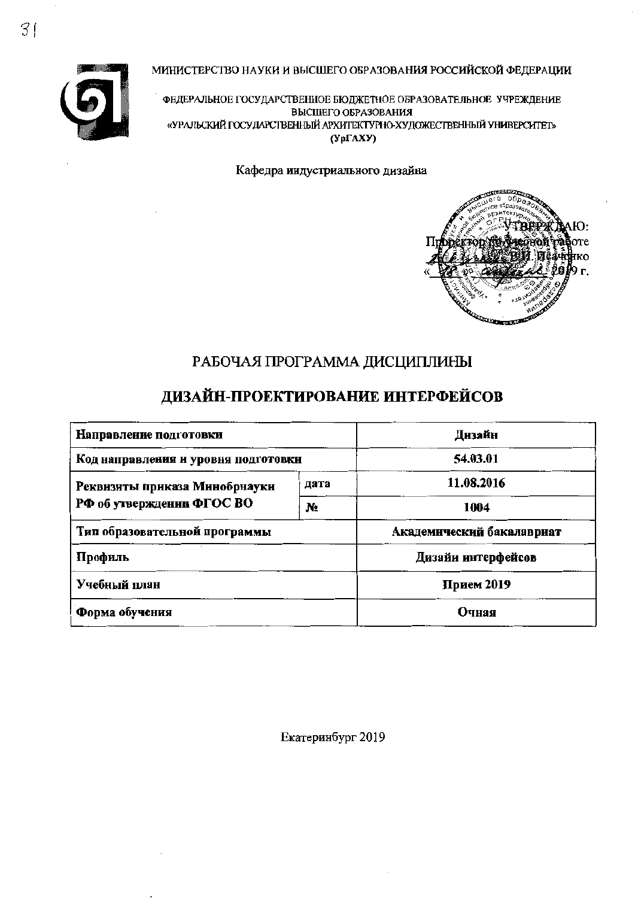МИНИСТЕРСТВО НАУКИ И ВЫСШЕГО ОБРАЗОВАНИЯ РОССИЙСКОЙ ФЕДЕРАЦИИ



ФЕДЕРАЛЬНОЕ ГОСУДАРСТВЕННОЕ БЮДЖЕТНОЕ ОБРАЗОВАТЕЛЬНОЕ УЧРЕЖДЕНИЕ ВЫСШЕГО ОБРАЗОВАНИЯ «УРАЛЬСКИЙ ГОСУДАРСТВЕННЫЙ АРХИТЕКТУРНО-ХУДОЖЕСТВЕННЫЙ УНИВЕРСИТЕТ»  $(Yp\Gamma A XY)$ 

Кафедра индустриального дизайна



# РАБОЧАЯ ПРОГРАММА ДИСЦИПЛИНЫ

## ДИЗАЙН-ПРОЕКТИРОВАНИЕ ИНТЕРФЕЙСОВ

| Направление подготовки              | Дизайн     |                           |  |  |
|-------------------------------------|------------|---------------------------|--|--|
| Код направления и уровня подготовки | 54.03.01   |                           |  |  |
| Реквизиты приказа Минобрнауки       | 11.08.2016 |                           |  |  |
| РФ об утверждении ФГОС ВО           | 1004       |                           |  |  |
| Тип образовательной программы       |            | Академический бакалавриат |  |  |
| Профиль                             |            | Дизайн интерфейсов        |  |  |
| Учебный план                        | Прием 2019 |                           |  |  |
| Форма обучения                      | Очная      |                           |  |  |

Екатеринбург 2019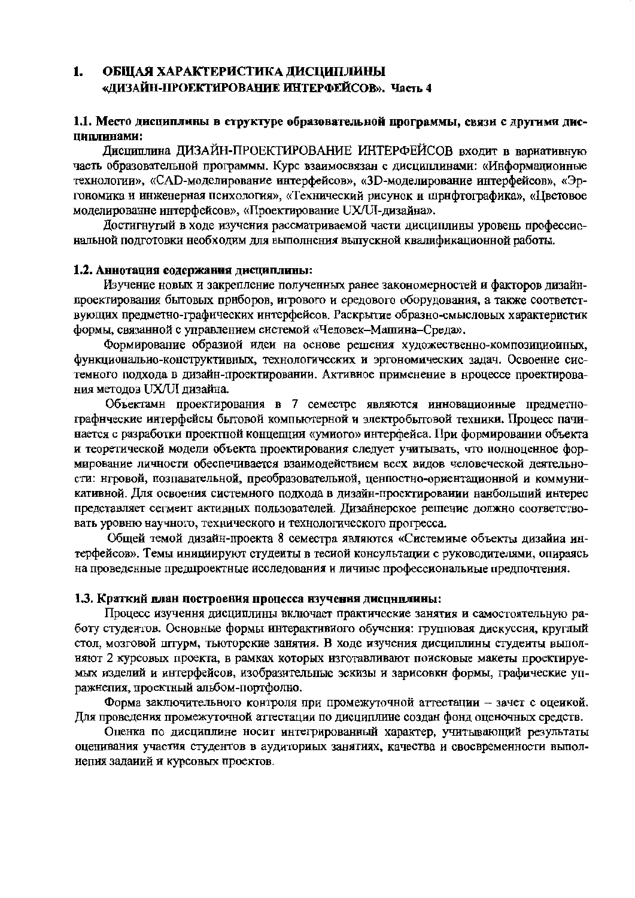#### 1. ОБЩАЯ ХАРАКТЕРИСТИКА ДИСЦИПЛИНЫ «ДИЗАЙН-ПРОЕКТИРОВАНИЕ ИНТЕРФЕЙСОВ». Часть 4

#### 1.1. Место дисциплины в структуре образовательной программы, связи с другими диспиплинами:

Дисциплина ДИЗАЙН-ПРОЕКТИРОВАНИЕ ИНТЕРФЕЙСОВ входит в вариативную часть образовательной программы. Курс взаимосвязан с дисциплинами: «Информациоиные технологии», «САD-моделирование интерфейсов», «3D-моделирование интерфейсов», «Эргономика и инженерная психология», «Технический рисунок и шрнфтографика», «Цветовое моделированне интерфейсов», «Проектирование UX/UI-дизайна».

Достигнутый в ходе изучения рассматриваемой части дисциплины уровень профессиональной подготовки необходим для выполнения выпускной квалификационной работы.

#### 1.2. Аннотация содержания дисциплины:

Изучение новых и закрепление полученных ранее закономерностей и факторов дизайнпроектирования бытовых приборов, игрового и средового оборудования, а также соответствующих предметно-графических интерфейсов. Раскрытие образно-смысловых характеристик формы, связанной с управлением системой «Человек-Машина-Среда».

Формирование образиой идеи на основе решения художественно-композициоиных, функциональио-конструктивных, технологических и эргономических задач. Освоенне системного подхода в дизайн-проектировании. Активное применение в нроцессе проектирования методов UX/UI дизайна.

Объектами проектирования в 7 семестре являются инновационные предметнографнческие интерфейсы бытовой компьютерной и электробытовой техники. Процесс пачинается с разработки проектной концепции «умиого» интерфейса. При формировании объекта и теоретической модели объекта проектирования следует учитывать, что полноценное формирование личности обеспечивается взаимодействием всех видов человеческой деятельности: нгровой, позпавательной, преобразовательной, ценпостно-ориентационной и коммуникативной. Для освоения системного подхода в дизайн-проектировании нанбольший интерес представляет сегмент активных пользователей. Дизайнерское решение должно соответствовать уровню научного, технического и технологического прогресса.

Общей темой дизайн-проекта 8 семестра являются «Системиые объекты дизайиа интерфейсов». Темы инициируют студеиты в тесиой консультации с руководителями, опираясь на проведенные предпроектные исследования и личиые профессиональные предпочтения.

#### 1.3. Краткий план построения процесса изучення дисциплины:

Процесс изучення дисциплины включает практические занятия и самостоятельную работу студентов. Основные формы интерактивиого обучения: групповая дискуссия, круглый стол, мозговой штурм, тьюторские занятия. В ходе изучения дисциплины студеиты выполняют 2 курсовых проекта, в рамках которых изготавливают поисковые макеты проектируемых изделий и интерфейсов, изобразительные эскизы и зарисовки формы, графические упражнепия, проектный альбом-портфолно.

Форма заключительного контроля при промежуточной аттестации - зачет с оцеикой. Для проведения промежуточной аттестации по дисциплине создан фонд оценочных средств.

Оценка по дисциплине носит интегрированный характер, учитывающий результаты оценивания участия студентов в аудиториых занятиях, качества и своевременности выполиепия заданий и курсовых проектов.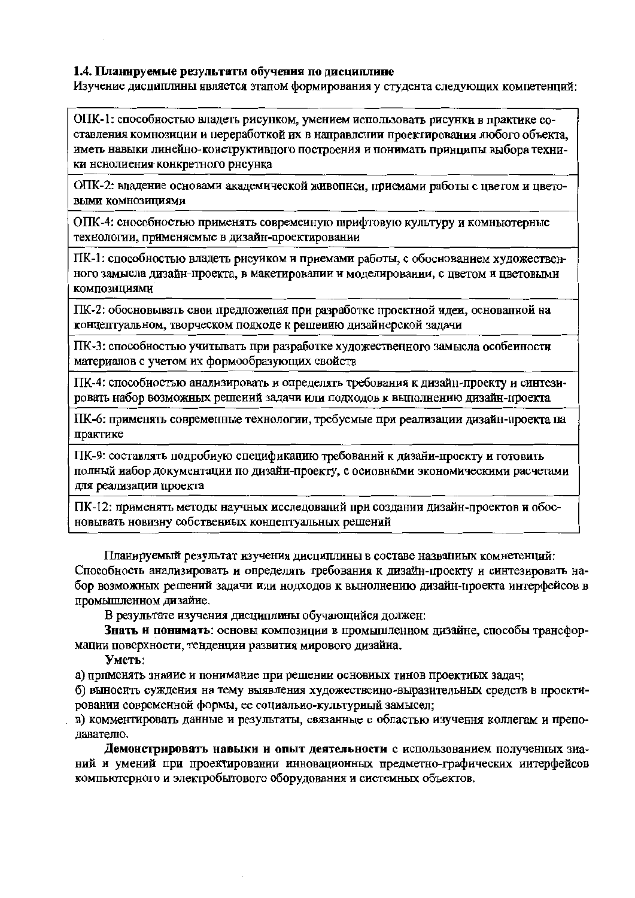#### 1.4. Планируемые результаты обучения по дисциплине

Изучение дисциплины является этапом формирования у студента следующих компетенций:

ОПК-1: способностью владеть рисунком, умением использовать рисунки в практике составления комнозиции и переработкой их в направлении нроектирования любого объекта. иметь навыки линейно-коиструктивного построения и понимать принципы выбора техники нснолиения конкретного рисунка

ОПК-2: владение основами академической живопнси, приемами работы с цветом и цвето-ВЫМИ КОМНОЗИЦИЯМИ

ОПК-4: снособностью применять современную шрифтовую культуру и комньютерные технологии, применяемые в дизайн-проектировании

ПК-1: способностью владеть рисуиком и приемами работы, с обоснованием художественного замысла дизайн-проекта, в макетировании и моделировании, с цветом и цветовыми **КОМПОЗИЦИЯМИ** 

ПК-2: обосновывать свои предложения при разработке проектной идеи, основанной на концептуальном, творческом подходе к решеиию дизайнерской задачи

ПК-3: способностью учитывать при разработке художественного замысла особенности материалов с учетом их формообразующих свойств

ПК-4: способиостью анализировать и определять требования к дизайн-проекту и синтезировать набор возможных решений задачи или подходов к выполнению дизайн-проекта

ПК-6: применять современные технологии, требуемые при реализации дизайн-проекта на практике

ПК-9: составлять подробиую спецификацию требований к дизайн-проекту и готовить полный набор документации по дизайи-проекту, с основными экономическими расчетами для реализации проекта

ПК-12: применять методы научных исследований при создании дизайн-проектов и обосновывать новизну собствениых концептуальных решений

Планируемый результат изучения дисциплины в составе названиых комнетенций: Способность анализировать и определять требования к дизайн-проекту и синтезировать набор возможных решений задачи или нодходов к вынолнению дизайн-проекта интерфейсов в промышленном дизайие.

В результате изучения дисциплины обучающийся должен:

Знать и понимать: основы композиции в промышленном дизайне, способы трансформации поверхности, тенденции развития мирового дизайиа.

#### Уметь:

а) примеиять знаиие и понимание при решении основных тинов проектиых задач;

б) выносить суждения на тему выявления художественно-выразительных средств в проектировании современной формы, ее социально-культуриый замысел;

в) комментировать данные и результаты, связанные с областью изучення коллегам и преподавателю.

Демонстрировать навыки и опыт деятельности с использованием полученных знаний и умений при проектировании инновационных предметно-графических иитерфейсов компьютерного и электробытового оборудования и системных объектов.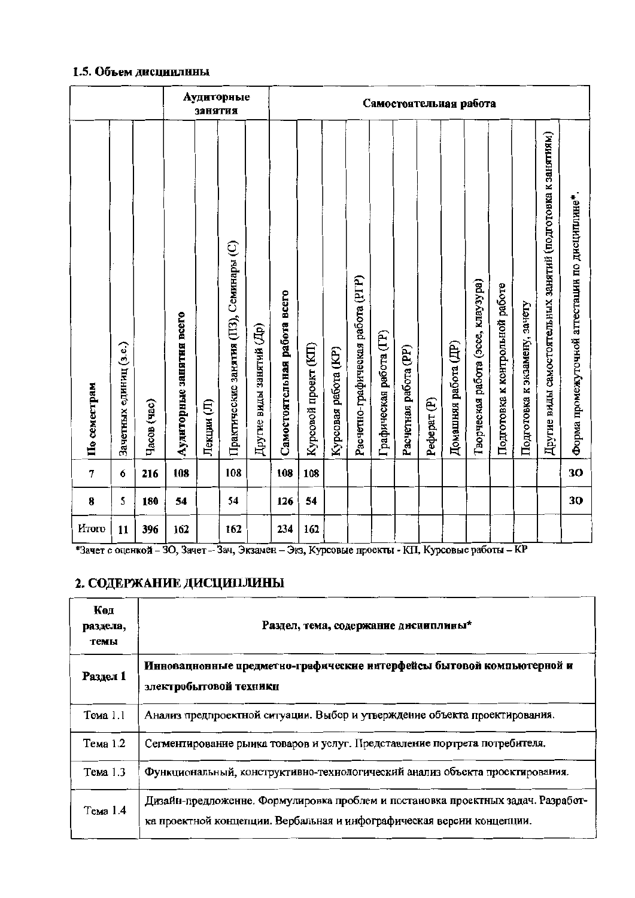#### 1.5. Объем дисциплины

|              |                        |             |                          | занятия    | Аудиторные                              |                          |                              |                      |                      |                                   |                         |                       | Самостоятельная работа |                      |                                    |                                 |                               |                                                             |                                                |
|--------------|------------------------|-------------|--------------------------|------------|-----------------------------------------|--------------------------|------------------------------|----------------------|----------------------|-----------------------------------|-------------------------|-----------------------|------------------------|----------------------|------------------------------------|---------------------------------|-------------------------------|-------------------------------------------------------------|------------------------------------------------|
| По семестрам | Зачетных единиц (з.е.) | Часов (час) | Аудиторные занятия всего | Лекции (Л) | Практические занятия (ПЗ), Семинары (С) | Другие виды занятий (Др) | Самостоятельная работа всего | Курсовой проект (КП) | Курсовая работа (КР) | Расчетно-графическая работа (PГР) | Графическая работа (ГР) | Расчетная работа (PP) | Pedepar <sub>(P)</sub> | Домашняя работа (ДР) | Творческая работа (эссе, клаузура) | Подготовка к контрольной работе | Подготовка к экзамену, зачету | Другие виды самостоятельных занятий (подготовка к занятиям) | Форма промежуточной аттестации по дисциплине". |
| 7            | 6                      | 216         | 108                      |            | 108                                     |                          | 108                          | 108                  |                      |                                   |                         |                       |                        |                      |                                    |                                 |                               |                                                             | 30                                             |
| 8            | 5                      | 180         | 54                       |            | 54                                      |                          | 126                          | 54                   |                      |                                   |                         |                       |                        |                      |                                    |                                 |                               |                                                             | 30                                             |
| <b>HTOro</b> | 11                     | 396         | 162                      |            | 162                                     |                          | 234                          | 162                  |                      |                                   |                         |                       |                        |                      |                                    |                                 |                               |                                                             |                                                |

\*Зачет с оценкой - 30, Зачет - Зач, Экзамен - Экз, Курсовые проекты - КП, Курсовые работы - КР

### 2. СОДЕРЖАНИЕ ДИСЦИПЛИНЫ

| Код<br>раздела,<br>темы | Раздел, тема, содержание дисциплины*                                                                                                                       |
|-------------------------|------------------------------------------------------------------------------------------------------------------------------------------------------------|
| Раздел 1                | Инновацнонные предметно-графические нитерфейсы бытовой компьютерной и<br>электробытовой техники                                                            |
| Тема 1.1                | Анализ предпроектной ситуации. Выбор и утверждение объекта проектирования.                                                                                 |
| Тема 1.2                | Сегментирование рыика товаров и услуг. Представление портрета потребителя.                                                                                 |
| Тема 1.3                | Функциональный, конструктивно-технологический анализ объекта проектирования.                                                                               |
| Тема 1.4                | Дизайн-предложенне. Формулировка проблем и постановка проектных задач. Разработ-<br>ка проектной концепции. Вербальная и инфографическая версии концепции. |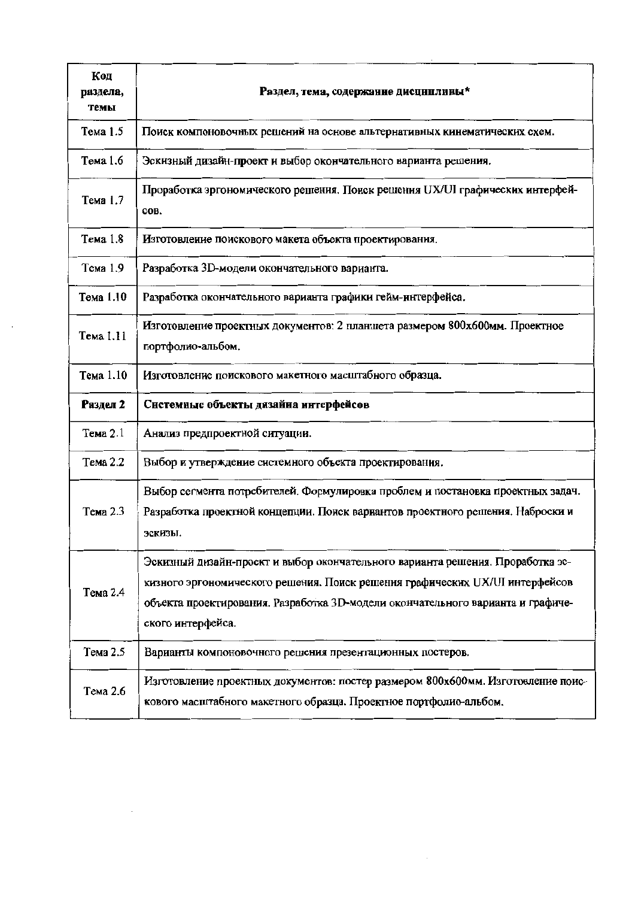| Код<br>раздела,<br>темы | Раздел, тема, содержание дисциплины*                                                                                                                                                                                                                                   |
|-------------------------|------------------------------------------------------------------------------------------------------------------------------------------------------------------------------------------------------------------------------------------------------------------------|
| Тема 1.5                | Поиск компоновочных решений на основе альтернативных кинематических схем.                                                                                                                                                                                              |
| Тема 1.6                | Эскизный дизайн-проект и выбор окончательного варианта решения.                                                                                                                                                                                                        |
| Тема 1.7                | Проработка эргономического решения. Поиск решения UX/UI графических интерфей-<br>COB.                                                                                                                                                                                  |
| Тема 1.8                | Изготовление поискового макета объекта проектирования.                                                                                                                                                                                                                 |
| Тема 1.9                | Разработка 3D-модели окончательного варианта.                                                                                                                                                                                                                          |
| Тема 1.10               | Разработка окончательного варианта графики гейм-интерфейса.                                                                                                                                                                                                            |
| Тема 1.11               | Изготовление проектных документов: 2 планшета размером 800х600мм. Проектное<br>портфолио-альбом.                                                                                                                                                                       |
| Тема 1.10               | Изготовление поискового макетного масштабного образца.                                                                                                                                                                                                                 |
| Раздел 2                | Системные объекты дизайна интерфейсов                                                                                                                                                                                                                                  |
| Тема 2.1                | Анализ предпроектной ситуации.                                                                                                                                                                                                                                         |
| Тема 2.2                | Выбор и утверждение системного объекта проектирования.                                                                                                                                                                                                                 |
| Тема 2.3                | Выбор сегмента потребителей. Формулировка проблем и постановка проектных задач.<br>Разработка проектной концепции. Поиск вариантов проектного решения. Наброски и<br>эскизы.                                                                                           |
| Тема 2.4                | Эскизный дизайн-проект и выбор окончательного варианта решения. Проработка эс-<br>кизного эргономического решения. Поиск решения графических UX/UI интерфейсов<br>объекта проектирования. Разработка 3D-модели окончательного варианта и графиче-<br>ского интерфейса. |
| Тема 2.5                | Варианты компоновочного решения презентационных постеров.                                                                                                                                                                                                              |
| Тема 2.6                | Изготовление проектных документов: постер размером 800х600мм. Изготовление поис-<br>кового масштабного макетного образца. Проектное портфолио-альбом.                                                                                                                  |

 $\mathcal{L}_{\mathcal{A}}$ 

 $\sim$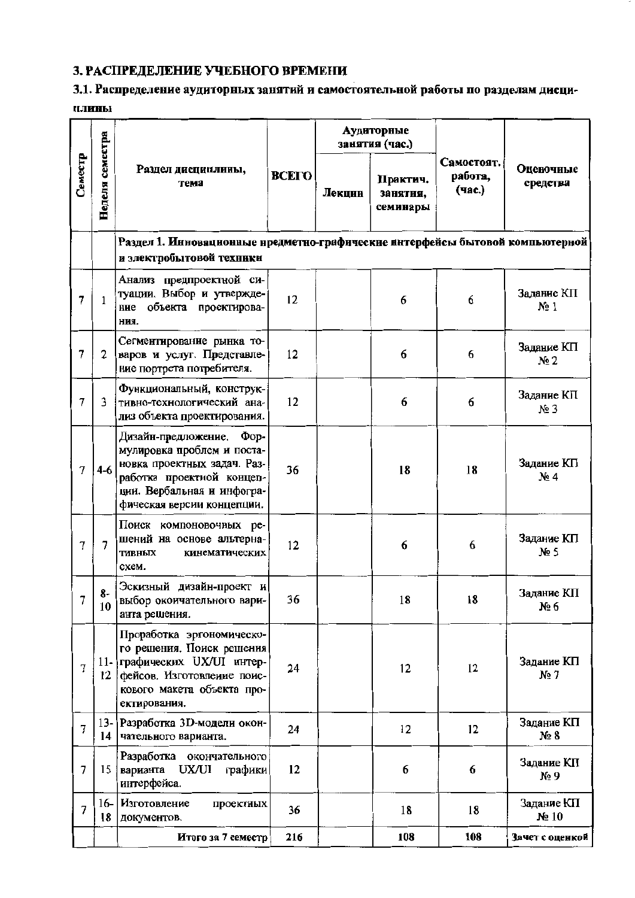## 3. РАСПРЕДЕЛЕНИЕ УЧЕБНОГО ВРЕМЕНИ

### 3.1. Распределение аудиторных занятий и самостоятельной работы по разделам дисци-**ПЛИНЫ**

|                |                 |                                                                                                                                                                                         |              |        | Аудиторные<br>занятия (час.)     |                                 |                                 |
|----------------|-----------------|-----------------------------------------------------------------------------------------------------------------------------------------------------------------------------------------|--------------|--------|----------------------------------|---------------------------------|---------------------------------|
| Семестр        | Неделя семестра | Раздел дисциплины,<br>тема                                                                                                                                                              | <b>BCETO</b> | Лекции | Практич.<br>занятия,<br>семинары | Самостоят.<br>работа,<br>(час.) | Оценочные<br>средства           |
|                |                 | Раздел 1. Инновационные нредметно-графические интерфейсы бытовой компьютерной<br>и электробытовой техники                                                                               |              |        |                                  |                                 |                                 |
| 7              | $\mathbf{1}$    | Анализ предпроектной си-<br>туации. Выбор и утвержде-<br>ние объекта проектирова-<br>ния.                                                                                               | 12           |        | 6                                | 6                               | Задание КП<br>$N2$ 1            |
| 7              | $\mathbf{2}$    | Сегментирование рынка то-<br>варов и услуг. Представле-<br>ние портрета потребителя.                                                                                                    | 12           |        | 6                                | 6                               | Задание КП<br>Ne2               |
| 7              | 3               | Функциональный, конструк-<br>тивно-технологический ана-<br>лиз объекта проектирования.                                                                                                  | 12           |        | 6                                | 6                               | Задание КП<br>No 3              |
| 7              | $4-6$           | Дизайн-предложение.<br>$\Phi$ op-<br>мулировка проблем и поста-<br>новка проектных задач. Раз-<br>работка проектной концеп-<br>ции. Вербальная и инфогра-<br>фическая версии концепции. | 36           |        | 18                               | 18                              | Задание КП<br>$N_2$ 4           |
| 7              | 7               | Поиск компоновочных ре-<br>шений на основе альтерна-<br><b>ТИВНЫХ</b><br>кинематических<br>схем.                                                                                        | 12           |        | 6                                | 6                               | Задание КП<br>Ne <sub>5</sub>   |
| 7              | 8-<br>10        | Эскизный дизайн-проект и<br>выбор окоичательного вари-<br>анта решения.                                                                                                                 | 36           |        | 18                               | 18                              | Задание КП<br>№ 6               |
| $\overline{7}$ | $12 \,$         | Проработка эргономическо-<br>го решения. Поиск решения<br>11- графических UX/UI интер-<br>фейсов. Изготовление поис-<br>кового макета объекта про-<br>ектирования.                      | 24           |        | 12                               | 12                              | Задание КП<br>$N2$ 7            |
| 7              | $13 -$<br>14    | Разработка 3D-модели окон-<br>чательного варианта.                                                                                                                                      | 24           |        | 12                               | 12                              | Задание КП<br>N <sub>2</sub> 8  |
| $\overline{7}$ | 15              | Разработка окончательного<br>UX/UI<br>варианта<br>графики<br>интерфейса.                                                                                                                | 12           |        | 6                                | 6                               | Задание КП<br>$N_2$ 9           |
| $\overline{7}$ | 18              | 16- Изготовление<br>проектных<br>документов.                                                                                                                                            | 36           |        | 18                               | 18                              | Задание КП<br>N <sub>2</sub> 10 |
|                |                 | Итого за 7 семестр                                                                                                                                                                      | 216          |        | 108                              | 108                             | Зачет с оценкой                 |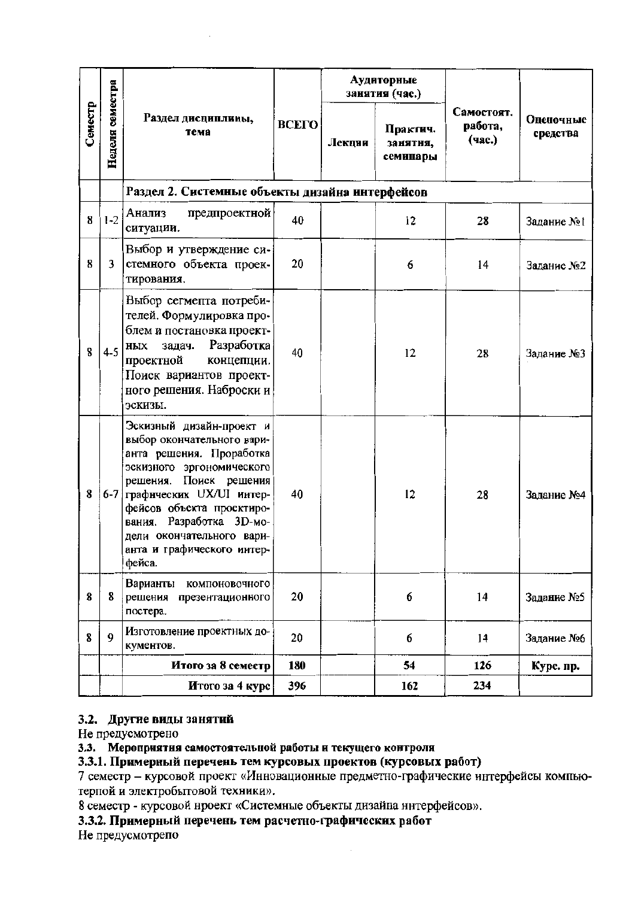|         |                 |                                                                                                                                                                                                                                                                                                         |              |        | Аудиторные<br>занятия (час.)     |                                 |                       |  |
|---------|-----------------|---------------------------------------------------------------------------------------------------------------------------------------------------------------------------------------------------------------------------------------------------------------------------------------------------------|--------------|--------|----------------------------------|---------------------------------|-----------------------|--|
| Семестр | Неделя семестра | Раздел дисциплины,<br>тема                                                                                                                                                                                                                                                                              | <b>BCETO</b> | Лекции | Практич.<br>занятня,<br>семинары | Самостоят.<br>работа,<br>(час.) | Оценочные<br>средства |  |
|         |                 | Раздел 2. Системные объекты дизайна интерфейсов                                                                                                                                                                                                                                                         |              |        |                                  |                                 |                       |  |
| 8       | $1 - 2$         | Анализ<br>предпроектной<br>ситуации.                                                                                                                                                                                                                                                                    | 40           |        | 12                               | 28                              | Задание No!           |  |
| 8       | 3               | Выбор и утверждение си-<br>стемного объекта проек-<br>тирования.                                                                                                                                                                                                                                        | 20           |        | 6                                | 14                              | Задание №2            |  |
| 8       | $4 - 5$         | Выбор сегмепта потреби-<br>телей. Формулировка про-<br>блем и постановка проект-<br>Разработка<br>задач.<br>ных<br>проектной<br>концепции.<br>Поиск вариантов проект-<br>ного решения. Наброски и<br>эскизы.                                                                                            | 40           |        | 12                               | 28                              | Задание №3            |  |
| 8       |                 | Эскизный дизайн-проект и<br>выбор окончательного вари-<br>анта решения. Проработка<br>эскизного эргономического<br>решения. Поиск решения<br>6-7 графических UX/UI интер-<br>фейсов объекта проектиро-<br>вания. Разработка 3D-мо-<br>дели окончательного вари-<br>анта и графического интер-<br>фейса. | 40           |        | 12                               | 28                              | Задание №4            |  |
| 8       | 8               | Варианты<br>компоновочного<br>решения<br>презентационного<br>постера.                                                                                                                                                                                                                                   | 20           |        | 6                                | 14                              | Задание №5            |  |
| 8       | 9               | Изготовление проектных до-<br>кументов.                                                                                                                                                                                                                                                                 | 20           |        | 6                                | 14                              | Задание №6            |  |
|         |                 | Итого за 8 семестр                                                                                                                                                                                                                                                                                      | 180          |        | 54                               | 126                             | Курс. пр.             |  |
|         |                 | Итого за 4 курс                                                                                                                                                                                                                                                                                         | 396          |        | 162                              | 234                             |                       |  |

## 3.2. Другие виды занятий

Не предусмотрено

#### 3.3. Мероприятия самостоятельной работы и текущего контроля

3.3.1. Примерный перечень тем курсовых проектов (курсовых работ)

7 семестр - курсовой проект «Инновационные предметно-графические интерфейсы компьютерпой и электробытовой техники».

8 семестр - курсовой нроект «Системные объекты дизайна интерфейсов».

3.3.2. Примерный перечень тем расчетно-графических работ

Не предусмотрепо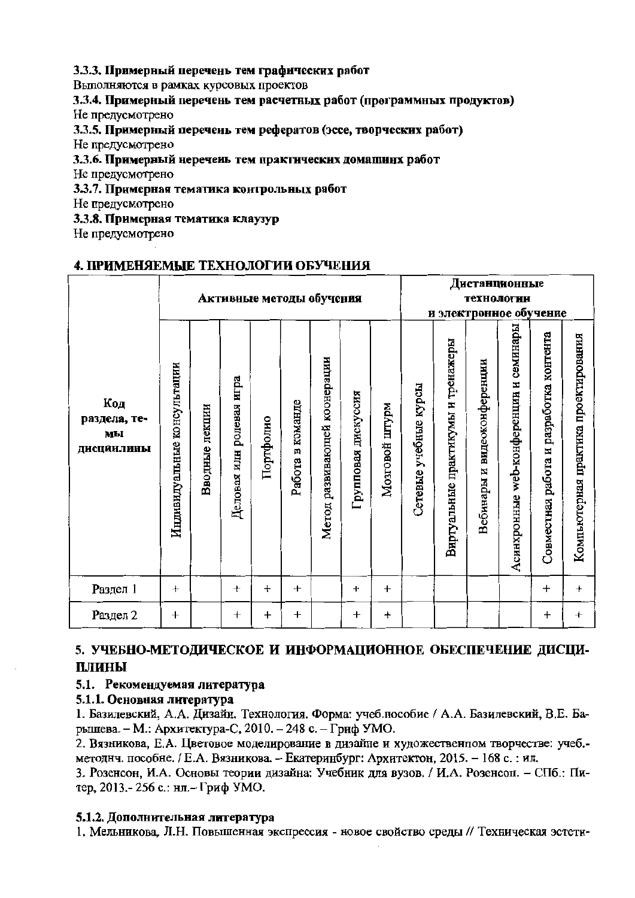#### 3.3.3. Примерный перечень тем графических работ

Выполняются в рамках курсовых проектов

3.3.4. Примерный перечень тем расчетных работ (программных продуктов) Не предусмотрено

3.3.5. Примерный перечень тем рефератов (эссе, творческих работ)

Не предусмотрено

#### 3.3.6. Примерный неречень тем практических домашних работ

Не предусмотрено

3.3.7. Примерная тематика контрольных работ

Не предусмотрено

3.3.8. Примерная тематика клаузур

Не предусмотрено

### 4. ПРИМЕНЯЕМЫЕ ТЕХНОЛОГИИ ОБУЧЕНИЯ

|                                         |                             |                |                          |           |                  | Активные методы обучения     |                     |                |                       |                                    | Дистанционные<br>технологии |                                              | <u>и электронное обучение</u>              |                                      |
|-----------------------------------------|-----------------------------|----------------|--------------------------|-----------|------------------|------------------------------|---------------------|----------------|-----------------------|------------------------------------|-----------------------------|----------------------------------------------|--------------------------------------------|--------------------------------------|
| Код<br>раздела, те-<br>мы<br>ДИСЦИНЛИНЫ | Индивидуальные консультации | Вводные лекции | Деловая илн ролевая игра | Портфолно | Работа в команде | Метод развивающей коонерации | Групповая дискуссия | Мозговой штурм | Сетевые учебные курсы | Виртуальные практикумы и тренажеры | Вебинары и видеоконференции | семинары<br>Z<br>Асинхронные web-конференции | разработка контента<br>Совместная работа и | Компьютерная практика проектирования |
| Раздел 1                                | $^{+}$                      |                | $^{+}$                   | $\pm$     | $^{+}$           |                              | $\ddot{}$           | $^{+}$         |                       |                                    |                             |                                              | $\ddot{}$                                  | $\ddot{}$                            |
| Раздел 2                                | $\boldsymbol{+}$            |                | $\ddot{}$                | $\pmb{+}$ | $\boldsymbol{+}$ |                              | $^{+}$              | $\ddot{}$      |                       |                                    |                             |                                              | $\pmb{+}$                                  | $\ddot{}$                            |

### 5. УЧЕБНО-МЕТОДИЧЕСКОЕ И ИНФОРМАЦИОННОЕ ОБЕСПЕЧЕНИЕ ДИСЦИплины

### 5.1. Рекомендуемая литература

### 5.1.1. Основная литература

1. Базилевский, А.А. Дизайн. Технология. Форма: учеб.пособие / А.А. Базилевский, В.Е. Барышева. - М.: Архитектура-С, 2010. - 248 с. - Гриф УМО.

2. Вязникова, Е.А. Цветовое моделирование в дизайне и художественном творчестве: учеб.методнч. пособне. / Е.А. Вязникова. - Екатеринбург: Архитектон, 2015. - 168 с. : ил.

3. Розенсон, И.А. Основы теории дизайна: Учебник для вузов. / И.А. Розенсоп. - СПб.: Питер, 2013.-256 с.: нл.- Гриф УМО.

#### 5.1.2. Дополнительная литература

1. Мельникова, Л.Н. Повышенная экспрессия - новое свойство среды // Техническая эстети-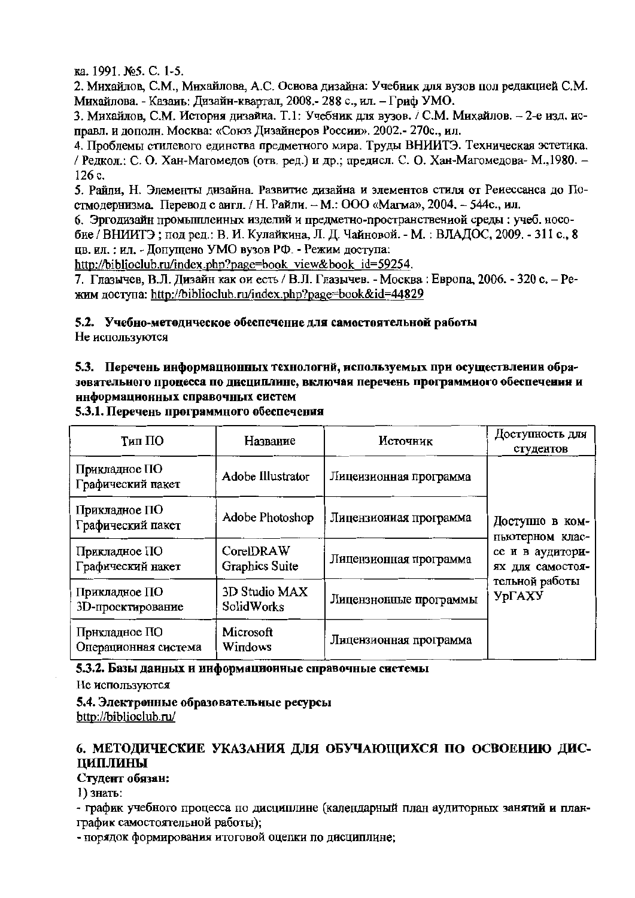ка. 1991. №5. С. 1-5.

2. Михайлов, С.М., Михайлова, А.С. Основа дизайна: Учебник для вузов пол редакцией С.М. Михайлова. - Казаиь: Лизайн-квартал. 2008.- 288 с., ил. - Гриф УМО.

3. Михайлов, С.М. История дизайна. Т.1: Учебник для вузов. / С.М. Михайлов. - 2-е изд. исправл. и дополн. Москва: «Союз Дизайнеров России». 2002.- 270с., ил.

4. Проблемы стилевого единства предметного мира. Труды ВНИИТЭ. Техническая эстетика. / Редкол.: С. О. Хан-Магомедов (отв. ред.) и др.; предисл. С. О. Хан-Магомедова- М., 1980. -126 c.

5. Райли, Н. Элементы дизайна. Развитие дизайна и элементов стиля от Ренессанса до Постмолернизма. Перевод с аигл. / Н. Райли. - М.: ООО «Магма», 2004. - 544с., ил.

6. Эргодизайн промышлеиных изделий и предметно-пространствениой среды: учеб. нособие / ВНИИТЭ; под ред.: В. И. Кулайкина, Л. Д. Чайновой. - М.: ВЛАДОС, 2009. - 311 с., 8 цв. ил. : ил. - Допущено УМО вузов РФ. - Режим доступа:

http://biblioclub.ru/index.php?page=book view&book id=59254.

7. Глазычев, В.Л. Дизайн как он есть / В.Л. Глазычев. - Москва: Европа, 2006. - 320 с. - Режим доступа: http://biblioclub.ru/index.php?page=book&id=44829

5.2. Учебно-методическое обеспечение для самостоятельной работы Не используются

### 5.3. Перечень информационных технологий, используемых при осуществлении образовательного процесса по дисциплине, включая перечень программного обеспечения и информационных справочных систем

Доступность для Тип ПО Название Источник студентов Приклалное ПО Adobe Illustrator Лицеизионная программа Графический пакет Прикладное ПО Adobe Photoshop Лицензиониая программа Доступно в ком-Графический пакет пьютерном клас- $C$ <sub>O</sub>rel DRAW Прикладное ПО се и в аудитори-Лицензионная программа Графический накет Graphics Suite ях для самостоятельной работы 3D Studio MAX Прикладное ПО **УрГАХУ** Лицензнонные программы **SolidWorks** 3D-проектирование Прикладное ПО Microsoft Лицензионная программа Операционная система Windows

5.3.1. Перечень программного обеспечения

#### 5.3.2. Базы данных и информационные справочные системы

Не используются

5.4. Электронные образовательные ресурсы bttp://biblioclub.ru/

### 6. МЕТОДИЧЕСКИЕ УКАЗАНИЯ ДЛЯ ОБУЧАЮЩИХСЯ ПО ОСВОЕНИЮ ДИС-**ПИПЛИНЫ**

#### Студент обязан:

1) знать:

- график учебного процесса по дисциплине (календарный план аудиторных занятий и планграфик самостоятельной работы);

- порядок формирования итоговой оцепки по дисциплине: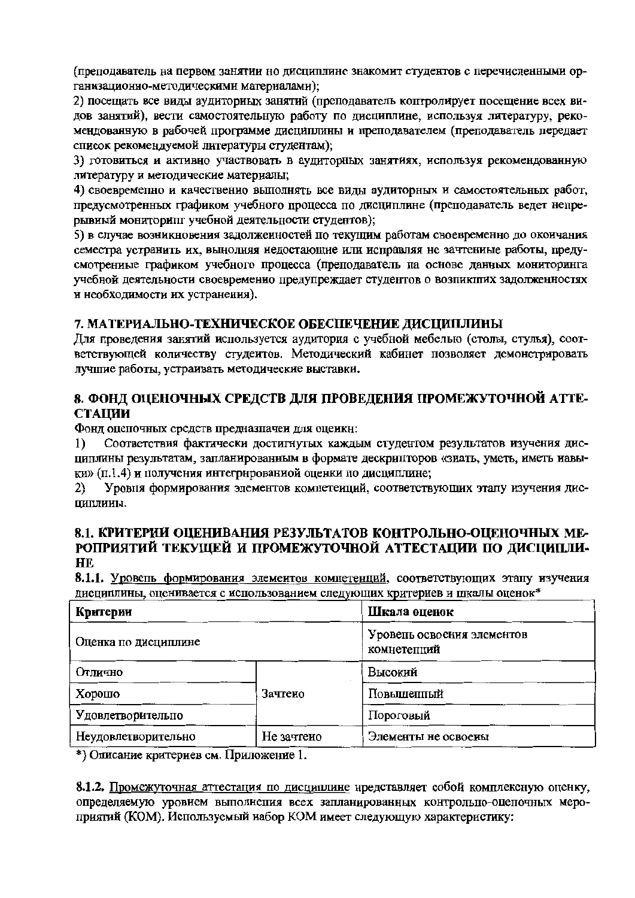(преподаватель на первом занятии но дисциплине знакомит студентов с перечисленными организационно-методическими материалами);

2) посещать все виды аудиторных занятий (преподаватель коптролирует посещение всех видов занятий), вести самостоятельную работу по дисциплине, используя литературу, рекомендованную в рабочей программе дисциплины и преподавателем (преподаватель передает список рекомендуемой литературы студентам);

3) готовиться и активно участвовать в аудиторных занятиях, используя рекомендованную литературу и методические материалы;

4) своевременно и качественио выполнять все виды аудиторных и самостоятельных работ, предусмотренных графиком учебного процесса по дисциплине (преподаватель ведет непрерывиый мониторипг учебной деятельности студентов);

5) в случае возникновения задолженностей по текущим работам своевременно до окончания семестра устранить их, вынолняя иедостающие или исправляя не зачтениые работы, предусмотрениые графиком учебного процесса (преподаватель па основе данных мониторинга учебной деятельности своевременно предупреждает студентов о возпикших задолженностях и необходимости их устранения).

#### 7. МАТЕРИАЛЬНО-ТЕХНИЧЕСКОЕ ОБЕСПЕЧЕНИЕ ДИСЦИПЛИНЫ

Для проведения занятий используется аудитория с учебной мебелью (столы, стулья), соответствующей количеству студеитов. Методический кабинет позволяет демонстрировать лучшие работы, устраивать методические выставки.

#### 8. ФОНД ОПЕНОЧНЫХ СРЕДСТВ ДЛЯ ПРОВЕДЕНИЯ ПРОМЕЖУТОЧНОЙ АТТЕ-**СТАЦИИ**

Фонд оцепочных средств предназначен для оценкн:

Соответствия фактически достигнутых каждым студентом результатов изучения дис- $\bf{1)}$ циплины результатам, запланированным в формате дескрипторов «зиать, уметь, иметь навыки» (п.1.4) и получения интегрированиой оценки по дисциплине;

Уровня формирования элементов компетеиций, соответствующих этапу изучения дис- $2)$ циплины.

#### 8.1. КРИТЕРИИ ОПЕНИВАНИЯ РЕЗУЛЬТАТОВ КОНТРОЛЬНО-ОЦЕНОЧНЫХ МЕ-РОПРИЯТИЙ ТЕКУЩЕЙ И ПРОМЕЖУТОЧНОЙ АТТЕСТАЦИИ ПО ДИСЦИПЛИ-HE

8.1.1. Уровень формирования элементов компетенций, соответствующих этапу изучения дисциплины, оценивается с использованием следующих критериев и шкалы оценок\*

| Критерии             |            | Шкала оценок                              |  |  |  |
|----------------------|------------|-------------------------------------------|--|--|--|
| Оценка по дисциплине |            | Уровень освоения элементов<br>комнетепций |  |  |  |
| Отлично              |            | Высокий                                   |  |  |  |
| Хорошо               | Зачтено    | Повышеппый                                |  |  |  |
| Удовлетворительно    |            | Пороговый                                 |  |  |  |
| Неудовлетворительно  | Не зачтено | Элементы не освоены                       |  |  |  |

\*) Описание критериев см. Приложение 1.

8.1.2. Промежуточная аттестация по дисциплине нредставляет собой комплексную оценку, определяемую уровием выполнения всех запланированных контрольпо-оцепочных мероприятий (КОМ). Используемый набор КОМ имеет следующую характеристику: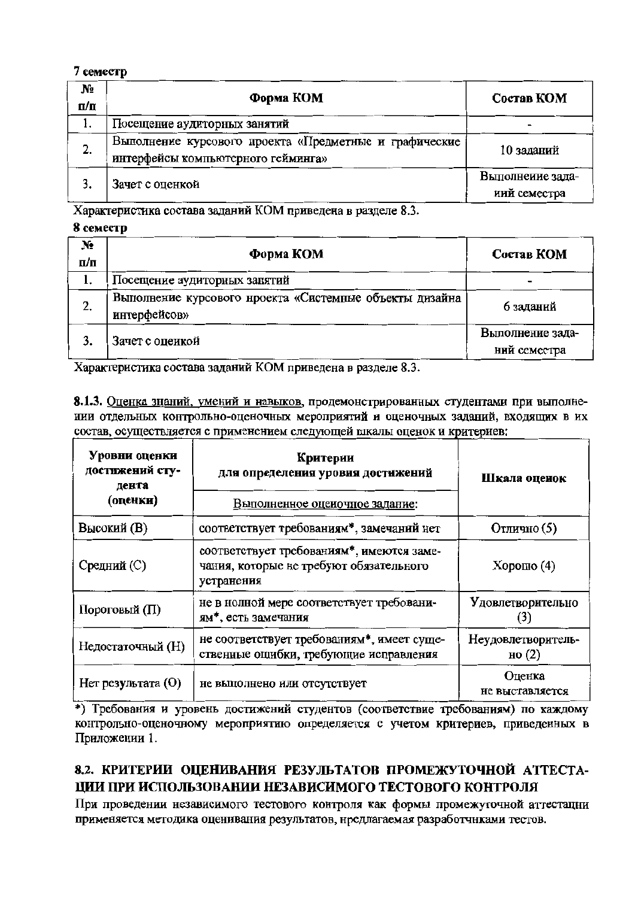#### 7 семестр

| No<br>п/п | Форма КОМ                                                                                    | Состав КОМ                       |
|-----------|----------------------------------------------------------------------------------------------|----------------------------------|
|           | Посещение аудиторных занятий                                                                 |                                  |
| 2.        | Выполнение курсового проекта «Предметные и графические<br>интерфейсы компьютерного гейминга» | 10 заданий                       |
|           | Зачет с оценкой                                                                              | Выполнеиие зада-<br>иий семестра |

Характеристика состава заданий КОМ приведена в разделе 8.3.

#### 8 семестр

| N.<br>п/п | Форма КОМ                                                               | Состав КОМ                       |
|-----------|-------------------------------------------------------------------------|----------------------------------|
| 1.        | Посещение аудиторных занятий                                            |                                  |
| 2.        | Выполнение курсового нроекта «Системные объекты дизайна<br>интерфейсов» | 6 заданий                        |
|           | Зачет с оцеикой                                                         | Выполнение зада-<br>ний семестра |
|           |                                                                         |                                  |

Характеристика состава заданий КОМ приведена в разделе 8.3.

8.1.3. Оценка знаний, умений и навыков, продемонстрированных студентами при выполнении отдельных контрольно-оценочных мероприятий и оценочных заданий, входящих в их состав, осуществляется с применением следующей шкалы оценок и критериев:

| Уровни оценки<br>достижений сту-<br>дента<br>(оценки) | Критерии<br>для определения уровня достижений<br>Выполненное оцеиочное задание:                    | Шкала оценок                   |  |  |
|-------------------------------------------------------|----------------------------------------------------------------------------------------------------|--------------------------------|--|--|
| Высокий (В)                                           | соответствует требованиям*, замечаний нет                                                          | Отлично (5)                    |  |  |
| Средний (С)                                           | соответствует требованиям*, имеются заме-<br>чания, которые не требуют обязательного<br>устранения | $X$ орошо $(4)$                |  |  |
| Пороговый (П)                                         | не в нолной мере соответствует требовани-<br>ям*, есть замечания                                   | Удовлетворительно              |  |  |
| Недостаточный (Н)                                     | не соответствует требованиям*, имеет суще-<br>ственные ощибки, требующие исправления               | Неудовлетворитель-<br>но $(2)$ |  |  |
| Нет результата (О)                                    | не выполнено или отсутствует                                                                       | Оценка<br>не выставляется      |  |  |

\*) Требования и уровень достижений студентов (соответствие требованиям) по каждому контрольно-оценочному мероприятию определяется с учетом критериев, приведенных в Приложении 1.

### 8.2. КРИТЕРИИ ОЦЕНИВАНИЯ РЕЗУЛЬТАТОВ ПРОМЕЖУТОЧНОЙ АТТЕСТА-ЦИИ ПРИ ИСПОЛЬЗОВАНИИ НЕЗАВИСИМОГО ТЕСТОВОГО КОНТРОЛЯ

При проведении независимого тестового контроля как формы промежуточной аттестации применяется методика оценивания результатов, нредлагаемая разработчиками тестов.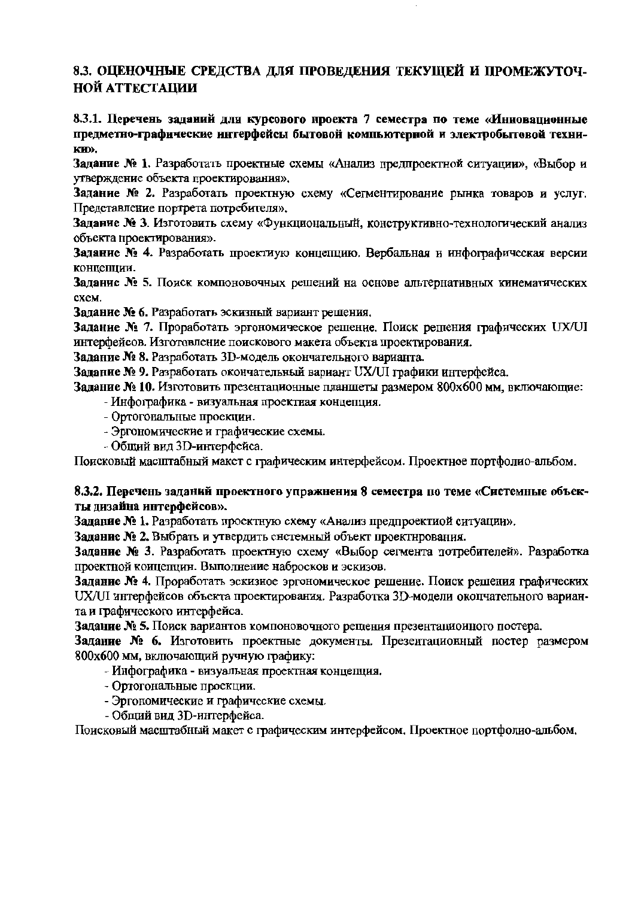### 8.3. ОЦЕНОЧНЫЕ СРЕДСТВА ДЛЯ ПРОВЕДЕНИЯ ТЕКУЩЕЙ И ПРОМЕЖУТОЧ-НОЙ АТТЕСТАЦИИ

8.3.1. Перечень заданий для курсового проекта 7 семестра по теме «Инновационные предметно-графические интерфейсы бытовой компьютерной и электробытовой техни-KH<sub>)</sub>.

Залание № 1. Разработать проектные схемы «Анализ предпроектной ситуации», «Выбор и утверждение объекта проектирования».

Задание № 2. Разработать проектную схему «Сегментирование рынка товаров и услуг. Представление портрета потребителя».

Задание № 3. Изготовить схему «Функциональный, конструктивно-технологический анализ объекта проектирования».

Задание № 4. Разработать проектиую концепцию. Вербальная и инфографическая версии концепции.

Задание № 5. Поиск компоновочных решений на основе альтернативных кинематических cxe<sub>M</sub>.

Задание № 6. Разработать эскизный вариант решения.

Задание № 7. Проработать эргономическое решение. Поиск решения графических UX/UI интерфейсов. Изготовление поискового макета объекта проектирования.

Задание № 8. Разработать 3D-модель окончательного варианта.

Задание № 9. Разработать окончательный вариант UX/UI графики интерфейса.

Задание № 10. Изготовить презентационные планшеты размером 800х600 мм, включающие:

- Инфографика - визуальная проектная концепция.

- Ортогональные проекции.
- Эргономические и графические схемы.
- Общий вил 3D-интерфейса.

Поисковый масштабный макет с графическим интерфейсом. Проектное портфолио-альбом.

#### 8.3.2. Перечень заданий проектного упражнения 8 семестра по теме «Системные объекты дизайна интерфейсов».

Задание № 1. Разработать проектную схему «Анализ предпроектиой ситуации».

Задание № 2. Выбрать и утвердить снстемный объект проектнрования.

Задание № 3. Разработать проектную схему «Выбор сегмента потребителей». Разработка проектной коицепцин. Выполнение набросков и эскизов.

Задание № 4. Проработать эскизное эргономическое решение. Поиск решения графических UX/UI интерфейсов объекта проектирования. Разработка 3D-модели окопчательного варианта и графического интерфейса.

Задание № 5. Поиск вариантов компоновочного рещения презентациоиного постера.

Задание № 6. Изготовить проектные документы. Презентационный постер размером 800х600 мм, включающий ручную графику:

- Инфографика - визуальная проектная концепция.

- Ортогональные проекции.
- Эргономические и графические схемы.
- Общий вид 3D-интерфейса.

Поисковый масштабный макет с графическим интерфейсом. Проектное портфолио-альбом.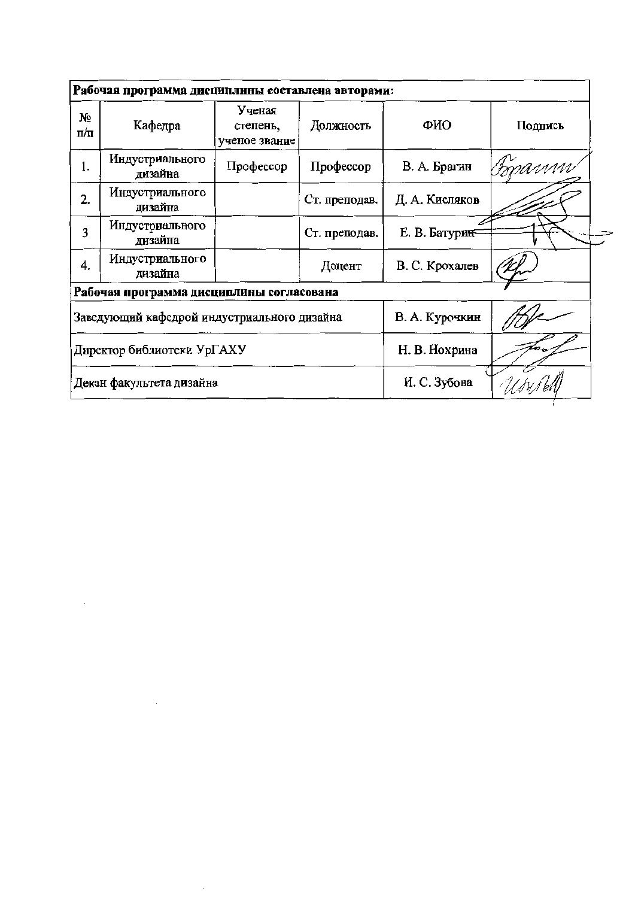|           | Рабочая программа дисциплины составлена авторами: |                                     |               |                |         |
|-----------|---------------------------------------------------|-------------------------------------|---------------|----------------|---------|
| Nº<br>п/п | Кафедра                                           | Ученая<br>степень,<br>ученое звание | Должность     | ФИО            | Подпись |
| 1.        | Индустриального<br>дизайна                        | Профессор                           | Профессор     | В. А. Брагин   | Forann  |
| 2.        | Индустриального<br>дизайна                        |                                     | Ст. преподав. | Д. А. Кисляков |         |
| 3         | Индустриального<br>дизайна                        |                                     | Ст. преподав. | Е. В. Батурин- |         |
| 4.        | Индустриального<br>дизайна                        |                                     | Доцент        | В. С. Крохалев |         |
|           | Рабочая программа дисциплины согласована          |                                     |               |                |         |
|           | Заведующий кафедрой индустриального дизайна       |                                     |               | В. А. Курочкин |         |
|           | Директор библиотеки УрГАХУ                        |                                     | Н. В. Нохрина |                |         |
|           | Декан факультета дизайна                          |                                     |               | И. С. Зубова   |         |

 $\mathcal{A}^{\text{out}}$ 

 $\sim 10^{-1}$ 

 $\sim$